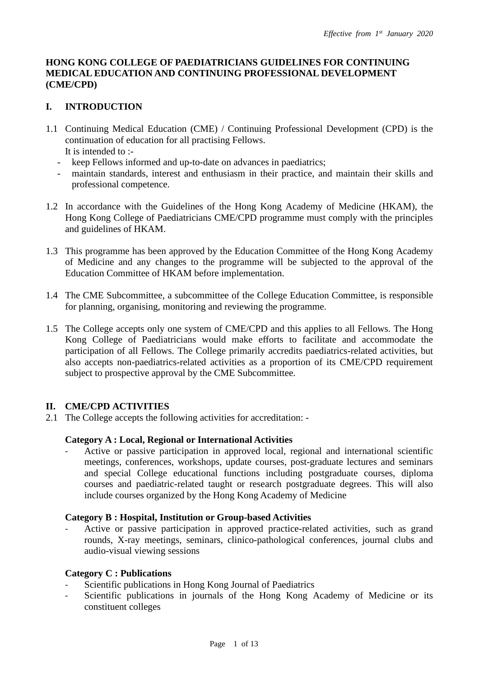### **HONG KONG COLLEGE OF PAEDIATRICIANS GUIDELINES FOR CONTINUING MEDICAL EDUCATION AND CONTINUING PROFESSIONAL DEVELOPMENT (CME/CPD)**

# **I. INTRODUCTION**

- 1.1 Continuing Medical Education (CME) / Continuing Professional Development (CPD) is the continuation of education for all practising Fellows. It is intended to :-
	- keep Fellows informed and up-to-date on advances in paediatrics;
	- maintain standards, interest and enthusiasm in their practice, and maintain their skills and professional competence.
- 1.2 In accordance with the Guidelines of the Hong Kong Academy of Medicine (HKAM), the Hong Kong College of Paediatricians CME/CPD programme must comply with the principles and guidelines of HKAM.
- 1.3 This programme has been approved by the Education Committee of the Hong Kong Academy of Medicine and any changes to the programme will be subjected to the approval of the Education Committee of HKAM before implementation.
- 1.4 The CME Subcommittee, a subcommittee of the College Education Committee, is responsible for planning, organising, monitoring and reviewing the programme.
- 1.5 The College accepts only one system of CME/CPD and this applies to all Fellows. The Hong Kong College of Paediatricians would make efforts to facilitate and accommodate the participation of all Fellows. The College primarily accredits paediatrics-related activities, but also accepts non-paediatrics-related activities as a proportion of its CME/CPD requirement subject to prospective approval by the CME Subcommittee.

# **II. CME/CPD ACTIVITIES**

2.1 The College accepts the following activities for accreditation: -

### **Category A : Local, Regional or International Activities**

- Active or passive participation in approved local, regional and international scientific meetings, conferences, workshops, update courses, post-graduate lectures and seminars and special College educational functions including postgraduate courses, diploma courses and paediatric-related taught or research postgraduate degrees. This will also include courses organized by the Hong Kong Academy of Medicine

### **Category B : Hospital, Institution or Group-based Activities**

Active or passive participation in approved practice-related activities, such as grand rounds, X-ray meetings, seminars, clinico-pathological conferences, journal clubs and audio-visual viewing sessions

### **Category C : Publications**

- Scientific publications in Hong Kong Journal of Paediatrics
- Scientific publications in journals of the Hong Kong Academy of Medicine or its constituent colleges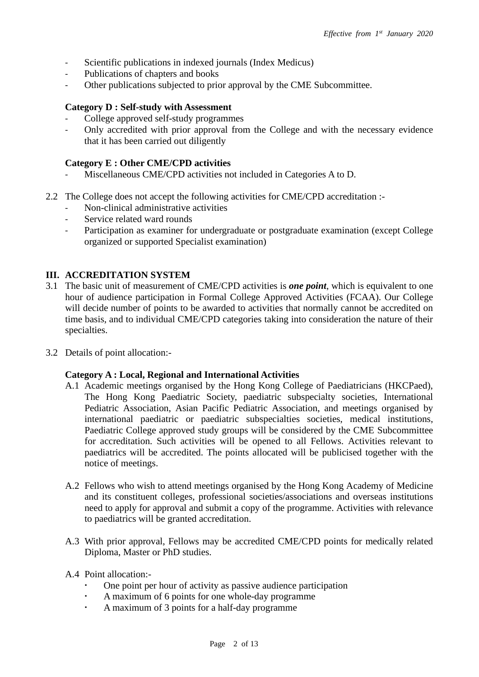- Scientific publications in indexed journals (Index Medicus)
- Publications of chapters and books
- Other publications subjected to prior approval by the CME Subcommittee.

#### **Category D : Self-study with Assessment**

- College approved self-study programmes
- Only accredited with prior approval from the College and with the necessary evidence that it has been carried out diligently

#### **Category E : Other CME/CPD activities**

- Miscellaneous CME/CPD activities not included in Categories A to D.
- 2.2 The College does not accept the following activities for CME/CPD accreditation :-
	- Non-clinical administrative activities
	- Service related ward rounds
	- Participation as examiner for undergraduate or postgraduate examination (except College organized or supported Specialist examination)

### **III. ACCREDITATION SYSTEM**

- 3.1 The basic unit of measurement of CME/CPD activities is *one point*, which is equivalent to one hour of audience participation in Formal College Approved Activities (FCAA). Our College will decide number of points to be awarded to activities that normally cannot be accredited on time basis, and to individual CME/CPD categories taking into consideration the nature of their specialties.
- 3.2 Details of point allocation:-

#### **Category A : Local, Regional and International Activities**

- A.1 Academic meetings organised by the Hong Kong College of Paediatricians (HKCPaed), The Hong Kong Paediatric Society, paediatric subspecialty societies, International Pediatric Association, Asian Pacific Pediatric Association, and meetings organised by international paediatric or paediatric subspecialties societies, medical institutions, Paediatric College approved study groups will be considered by the CME Subcommittee for accreditation. Such activities will be opened to all Fellows. Activities relevant to paediatrics will be accredited. The points allocated will be publicised together with the notice of meetings.
- A.2 Fellows who wish to attend meetings organised by the Hong Kong Academy of Medicine and its constituent colleges, professional societies/associations and overseas institutions need to apply for approval and submit a copy of the programme. Activities with relevance to paediatrics will be granted accreditation.
- A.3 With prior approval, Fellows may be accredited CME/CPD points for medically related Diploma, Master or PhD studies.
- A.4 Point allocation:-
	- One point per hour of activity as passive audience participation
	- A maximum of 6 points for one whole-day programme
	- A maximum of 3 points for a half-day programme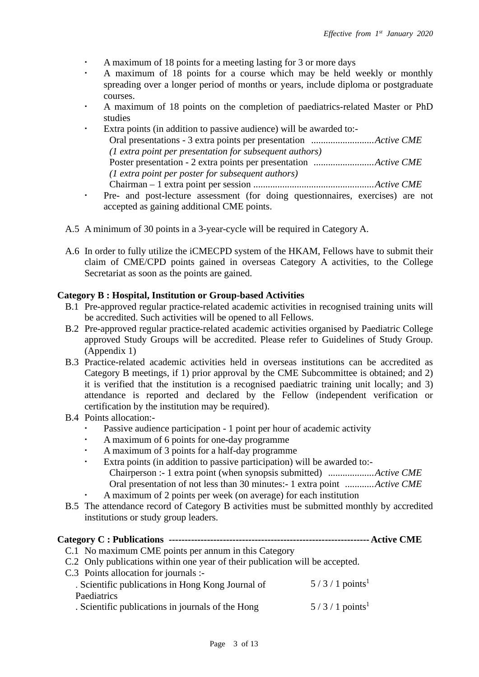- A maximum of 18 points for a meeting lasting for 3 or more days
- A maximum of 18 points for a course which may be held weekly or monthly spreading over a longer period of months or years, include diploma or postgraduate courses.
- A maximum of 18 points on the completion of paediatrics-related Master or PhD studies
- Extra points (in addition to passive audience) will be awarded to:- Oral presentations - 3 extra points per presentation ..........................*Active CME (1 extra point per presentation for subsequent authors)* Poster presentation - 2 extra points per presentation .........................*Active CME (1 extra point per poster for subsequent authors)* Chairman – 1 extra point per session ..................................................*Active CME*
- Pre- and post-lecture assessment (for doing questionnaires, exercises) are not accepted as gaining additional CME points.
- A.5 A minimum of 30 points in a 3-year-cycle will be required in Category A.
- A.6 In order to fully utilize the iCMECPD system of the HKAM, Fellows have to submit their claim of CME/CPD points gained in overseas Category A activities, to the College Secretariat as soon as the points are gained.

# **Category B : Hospital, Institution or Group-based Activities**

- B.1 Pre-approved regular practice-related academic activities in recognised training units will be accredited. Such activities will be opened to all Fellows.
- B.2 Pre-approved regular practice-related academic activities organised by Paediatric College approved Study Groups will be accredited. Please refer to Guidelines of Study Group. (Appendix 1)
- B.3 Practice-related academic activities held in overseas institutions can be accredited as Category B meetings, if 1) prior approval by the CME Subcommittee is obtained; and 2) it is verified that the institution is a recognised paediatric training unit locally; and 3) attendance is reported and declared by the Fellow (independent verification or certification by the institution may be required).
- B.4 Points allocation:-
	- Passive audience participation 1 point per hour of academic activity
	- A maximum of 6 points for one-day programme
	- A maximum of 3 points for a half-day programme
	- Extra points (in addition to passive participation) will be awarded to:- Chairperson :- 1 extra point (when synopsis submitted) ...................*Active CME* Oral presentation of not less than 30 minutes:- 1 extra point ............*Active CME* A maximum of 2 points per week (on average) for each institution
- B.5 The attendance record of Category B activities must be submitted monthly by accredited institutions or study group leaders.

# **Category C : Publications ---------------------------------------------------------------Active CME**

- C.1 No maximum CME points per annum in this Category
- C.2 Only publications within one year of their publication will be accepted.
- C.3 Points allocation for journals :-

| . Scientific publications in Hong Kong Journal of | $5/3/1$ points <sup>1</sup> |
|---------------------------------------------------|-----------------------------|
| Paediatrics                                       |                             |
| . Scientific publications in journals of the Hong | $5/3/1$ points <sup>1</sup> |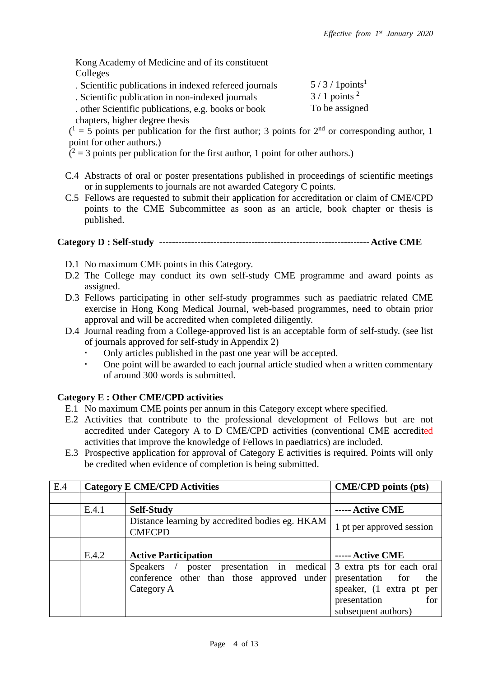To be assigned

Kong Academy of Medicine and of its constituent Colleges

- . Scientific publications in indexed refereed journals  $5/3/1$  points<sup>1</sup><br>Scientific publication in non-indexed journals  $3/1$  points<sup>2</sup>
- . Scientific publication in non-indexed journals
- . other Scientific publications, e.g. books or book chapters, higher degree thesis

 $(1 = 5$  points per publication for the first author; 3 points for  $2<sup>nd</sup>$  or corresponding author, 1 point for other authors.)

- $(2 = 3 \text{ points per publication for the first author, 1 point for other authors.)}$
- C.4 Abstracts of oral or poster presentations published in proceedings of scientific meetings or in supplements to journals are not awarded Category C points.
- C.5 Fellows are requested to submit their application for accreditation or claim of CME/CPD points to the CME Subcommittee as soon as an article, book chapter or thesis is published.

### **Category D : Self-study ------------------------------------------------------------------Active CME**

- D.1 No maximum CME points in this Category.
- D.2 The College may conduct its own self-study CME programme and award points as assigned.
- D.3 Fellows participating in other self-study programmes such as paediatric related CME exercise in Hong Kong Medical Journal, web-based programmes, need to obtain prior approval and will be accredited when completed diligently.
- D.4 Journal reading from a College-approved list is an acceptable form of self-study. (see list of journals approved for self-study in Appendix 2)
	- Only articles published in the past one year will be accepted.<br>One point will be awarded to each journal article studied when
	- One point will be awarded to each journal article studied when a written commentary of around 300 words is submitted.

### **Category E : Other CME/CPD activities**

- E.1 No maximum CME points per annum in this Category except where specified.
- E.2 Activities that contribute to the professional development of Fellows but are not accredited under Category A to D CME/CPD activities (conventional CME accredited activities that improve the knowledge of Fellows in paediatrics) are included.
- E.3 Prospective application for approval of Category E activities is required. Points will only be credited when evidence of completion is being submitted.

| E.4 | <b>Category E CME/CPD Activities</b> |                                                                                                            | <b>CME/CPD</b> points (pts)                                                                                                    |
|-----|--------------------------------------|------------------------------------------------------------------------------------------------------------|--------------------------------------------------------------------------------------------------------------------------------|
|     |                                      |                                                                                                            |                                                                                                                                |
|     | E.4.1                                | <b>Self-Study</b>                                                                                          | ----- Active CME                                                                                                               |
|     |                                      | Distance learning by accredited bodies eg. HKAM<br><b>CMECPD</b>                                           | 1 pt per approved session                                                                                                      |
|     |                                      |                                                                                                            |                                                                                                                                |
|     | E.4.2                                | <b>Active Participation</b>                                                                                | ----- Active CME                                                                                                               |
|     |                                      | poster presentation in medical<br>$Speakers$ /<br>conference other than those approved under<br>Category A | 3 extra pts for each oral<br>presentation for<br>the<br>speaker, (1 extra pt per<br>presentation<br>for<br>subsequent authors) |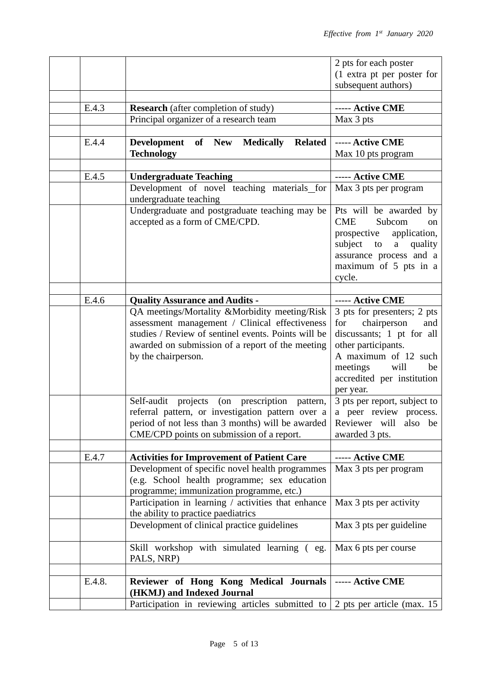|        |                                                                                                                                      | 2 pts for each poster       |
|--------|--------------------------------------------------------------------------------------------------------------------------------------|-----------------------------|
|        |                                                                                                                                      | (1 extra pt per poster for  |
|        |                                                                                                                                      | subsequent authors)         |
|        |                                                                                                                                      |                             |
| E.4.3  | <b>Research</b> (after completion of study)                                                                                          | ----- Active CME            |
|        | Principal organizer of a research team                                                                                               | Max 3 pts                   |
|        |                                                                                                                                      |                             |
| E.4.4  | Development of New Medically<br><b>Related</b>                                                                                       | ----- Active CME            |
|        | <b>Technology</b>                                                                                                                    | Max 10 pts program          |
|        |                                                                                                                                      |                             |
| E.4.5  | <b>Undergraduate Teaching</b>                                                                                                        | ----- Active CME            |
|        | Development of novel teaching materials for                                                                                          | Max 3 pts per program       |
|        | undergraduate teaching                                                                                                               |                             |
|        | Undergraduate and postgraduate teaching may be                                                                                       | Pts will be awarded by      |
|        | accepted as a form of CME/CPD.                                                                                                       | <b>CME</b><br>Subcom<br>on  |
|        |                                                                                                                                      | prospective application,    |
|        |                                                                                                                                      | subject to<br>a quality     |
|        |                                                                                                                                      | assurance process and a     |
|        |                                                                                                                                      | maximum of 5 pts in a       |
|        |                                                                                                                                      | cycle.                      |
|        |                                                                                                                                      |                             |
| E.4.6  | <b>Quality Assurance and Audits -</b>                                                                                                | ----- Active CME            |
|        | QA meetings/Mortality &Morbidity meeting/Risk                                                                                        | 3 pts for presenters; 2 pts |
|        | assessment management / Clinical effectiveness                                                                                       | for<br>chairperson<br>and   |
|        | studies / Review of sentinel events. Points will be                                                                                  | discussants; 1 pt for all   |
|        | awarded on submission of a report of the meeting                                                                                     | other participants.         |
|        | by the chairperson.                                                                                                                  | A maximum of 12 such        |
|        |                                                                                                                                      | meetings<br>will<br>be      |
|        |                                                                                                                                      | accredited per institution  |
|        |                                                                                                                                      | per year.                   |
|        | projects (on prescription pattern, $\vert$ 3 pts per report, subject to<br>Self-audit                                                |                             |
|        | referral pattern, or investigation pattern over $a \mid a$ peer review process.<br>period of not less than 3 months) will be awarded | Reviewer will<br>also be    |
|        | CME/CPD points on submission of a report.                                                                                            | awarded 3 pts.              |
|        |                                                                                                                                      |                             |
| E.4.7  | <b>Activities for Improvement of Patient Care</b>                                                                                    | ----- Active CME            |
|        | Development of specific novel health programmes                                                                                      | Max 3 pts per program       |
|        | (e.g. School health programme; sex education                                                                                         |                             |
|        | programme; immunization programme, etc.)                                                                                             |                             |
|        | Participation in learning / activities that enhance                                                                                  | Max 3 pts per activity      |
|        | the ability to practice paediatrics                                                                                                  |                             |
|        | Development of clinical practice guidelines                                                                                          | Max 3 pts per guideline     |
|        |                                                                                                                                      |                             |
|        | Skill workshop with simulated learning (eg.                                                                                          | Max 6 pts per course        |
|        | PALS, NRP)                                                                                                                           |                             |
|        |                                                                                                                                      |                             |
| E.4.8. | Reviewer of Hong Kong Medical Journals                                                                                               | ----- Active CME            |
|        | (HKMJ) and Indexed Journal                                                                                                           |                             |
|        | Participation in reviewing articles submitted to $\vert$ 2 pts per article (max. 15                                                  |                             |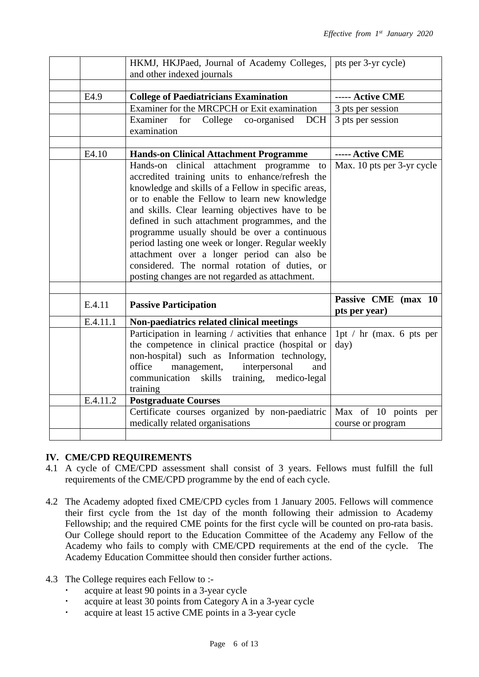|          | HKMJ, HKJPaed, Journal of Academy Colleges,<br>and other indexed journals                                                                                                                                                                                                                                                                                                                                                                                                                                                                                                                                   | pts per 3-yr cycle)                               |
|----------|-------------------------------------------------------------------------------------------------------------------------------------------------------------------------------------------------------------------------------------------------------------------------------------------------------------------------------------------------------------------------------------------------------------------------------------------------------------------------------------------------------------------------------------------------------------------------------------------------------------|---------------------------------------------------|
|          |                                                                                                                                                                                                                                                                                                                                                                                                                                                                                                                                                                                                             |                                                   |
| E4.9     | <b>College of Paediatricians Examination</b>                                                                                                                                                                                                                                                                                                                                                                                                                                                                                                                                                                | ----- Active CME                                  |
|          | Examiner for the MRCPCH or Exit examination                                                                                                                                                                                                                                                                                                                                                                                                                                                                                                                                                                 | 3 pts per session                                 |
|          | College co-organised<br>Examiner<br>for<br><b>DCH</b><br>examination                                                                                                                                                                                                                                                                                                                                                                                                                                                                                                                                        | 3 pts per session                                 |
|          |                                                                                                                                                                                                                                                                                                                                                                                                                                                                                                                                                                                                             |                                                   |
| E4.10    | <b>Hands-on Clinical Attachment Programme</b>                                                                                                                                                                                                                                                                                                                                                                                                                                                                                                                                                               | ----- Active CME                                  |
| E.4.11   | clinical attachment programme<br>Hands-on<br>to<br>accredited training units to enhance/refresh the<br>knowledge and skills of a Fellow in specific areas,<br>or to enable the Fellow to learn new knowledge<br>and skills. Clear learning objectives have to be<br>defined in such attachment programmes, and the<br>programme usually should be over a continuous<br>period lasting one week or longer. Regular weekly<br>attachment over a longer period can also be<br>considered. The normal rotation of duties, or<br>posting changes are not regarded as attachment.<br><b>Passive Participation</b> | Max. 10 pts per 3-yr cycle<br>Passive CME (max 10 |
|          |                                                                                                                                                                                                                                                                                                                                                                                                                                                                                                                                                                                                             | pts per year)                                     |
| E.4.11.1 | Non-paediatrics related clinical meetings                                                                                                                                                                                                                                                                                                                                                                                                                                                                                                                                                                   |                                                   |
|          | Participation in learning / activities that enhance<br>the competence in clinical practice (hospital or<br>non-hospital) such as Information technology,<br>office<br>management,<br>interpersonal<br>and<br>communication skills training, medico-legal<br>training                                                                                                                                                                                                                                                                                                                                        | 1pt / $hr$ (max. 6 pts per<br>day)                |
| E.4.11.2 | <b>Postgraduate Courses</b>                                                                                                                                                                                                                                                                                                                                                                                                                                                                                                                                                                                 |                                                   |
|          | Certificate courses organized by non-paediatric<br>medically related organisations                                                                                                                                                                                                                                                                                                                                                                                                                                                                                                                          | Max of 10 points per<br>course or program         |
|          |                                                                                                                                                                                                                                                                                                                                                                                                                                                                                                                                                                                                             |                                                   |

# **IV. CME/CPD REQUIREMENTS**

- 4.1 A cycle of CME/CPD assessment shall consist of 3 years. Fellows must fulfill the full requirements of the CME/CPD programme by the end of each cycle.
- 4.2 The Academy adopted fixed CME/CPD cycles from 1 January 2005. Fellows will commence their first cycle from the 1st day of the month following their admission to Academy Fellowship; and the required CME points for the first cycle will be counted on pro-rata basis. Our College should report to the Education Committee of the Academy any Fellow of the Academy who fails to comply with CME/CPD requirements at the end of the cycle. The Academy Education Committee should then consider further actions.
- 4.3 The College requires each Fellow to :
	- acquire at least 90 points in a 3-year cycle
	- acquire at least 30 points from Category A in a 3-year cycle
	- acquire at least 15 active CME points in a 3-year cycle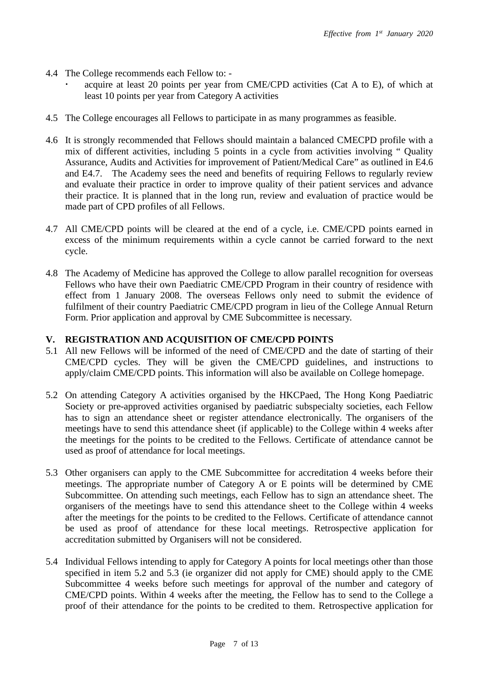- 4.4 The College recommends each Fellow to:
	- acquire at least 20 points per year from CME/CPD activities (Cat A to E), of which at least 10 points per year from Category A activities
- 4.5 The College encourages all Fellows to participate in as many programmes as feasible.
- 4.6 It is strongly recommended that Fellows should maintain a balanced CMECPD profile with a mix of different activities, including 5 points in a cycle from activities involving " Quality Assurance, Audits and Activities for improvement of Patient/Medical Care" as outlined in E4.6 and E4.7. The Academy sees the need and benefits of requiring Fellows to regularly review and evaluate their practice in order to improve quality of their patient services and advance their practice. It is planned that in the long run, review and evaluation of practice would be made part of CPD profiles of all Fellows.
- 4.7 All CME/CPD points will be cleared at the end of a cycle, i.e. CME/CPD points earned in excess of the minimum requirements within a cycle cannot be carried forward to the next cycle.
- 4.8 The Academy of Medicine has approved the College to allow parallel recognition for overseas Fellows who have their own Paediatric CME/CPD Program in their country of residence with effect from 1 January 2008. The overseas Fellows only need to submit the evidence of fulfilment of their country Paediatric CME/CPD program in lieu of the College Annual Return Form. Prior application and approval by CME Subcommittee is necessary.

#### **V. REGISTRATION AND ACQUISITION OF CME/CPD POINTS**

- 5.1 All new Fellows will be informed of the need of CME/CPD and the date of starting of their CME/CPD cycles. They will be given the CME/CPD guidelines, and instructions to apply/claim CME/CPD points. This information will also be available on College homepage.
- 5.2 On attending Category A activities organised by the HKCPaed, The Hong Kong Paediatric Society or pre-approved activities organised by paediatric subspecialty societies, each Fellow has to sign an attendance sheet or register attendance electronically. The organisers of the meetings have to send this attendance sheet (if applicable) to the College within 4 weeks after the meetings for the points to be credited to the Fellows. Certificate of attendance cannot be used as proof of attendance for local meetings.
- 5.3 Other organisers can apply to the CME Subcommittee for accreditation 4 weeks before their meetings. The appropriate number of Category A or E points will be determined by CME Subcommittee. On attending such meetings, each Fellow has to sign an attendance sheet. The organisers of the meetings have to send this attendance sheet to the College within 4 weeks after the meetings for the points to be credited to the Fellows. Certificate of attendance cannot be used as proof of attendance for these local meetings. Retrospective application for accreditation submitted by Organisers will not be considered.
- 5.4 Individual Fellows intending to apply for Category A points for local meetings other than those specified in item 5.2 and 5.3 (ie organizer did not apply for CME) should apply to the CME Subcommittee 4 weeks before such meetings for approval of the number and category of CME/CPD points. Within 4 weeks after the meeting, the Fellow has to send to the College a proof of their attendance for the points to be credited to them. Retrospective application for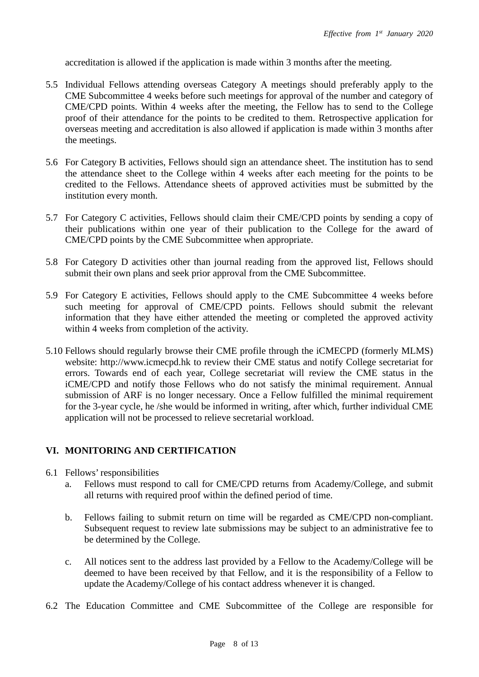accreditation is allowed if the application is made within 3 months after the meeting.

- 5.5 Individual Fellows attending overseas Category A meetings should preferably apply to the CME Subcommittee 4 weeks before such meetings for approval of the number and category of CME/CPD points. Within 4 weeks after the meeting, the Fellow has to send to the College proof of their attendance for the points to be credited to them. Retrospective application for overseas meeting and accreditation is also allowed if application is made within 3 months after the meetings.
- 5.6 For Category B activities, Fellows should sign an attendance sheet. The institution has to send the attendance sheet to the College within 4 weeks after each meeting for the points to be credited to the Fellows. Attendance sheets of approved activities must be submitted by the institution every month.
- 5.7 For Category C activities, Fellows should claim their CME/CPD points by sending a copy of their publications within one year of their publication to the College for the award of CME/CPD points by the CME Subcommittee when appropriate.
- 5.8 For Category D activities other than journal reading from the approved list, Fellows should submit their own plans and seek prior approval from the CME Subcommittee.
- 5.9 For Category E activities, Fellows should apply to the CME Subcommittee 4 weeks before such meeting for approval of CME/CPD points. Fellows should submit the relevant information that they have either attended the meeting or completed the approved activity within 4 weeks from completion of the activity.
- 5.10 Fellows should regularly browse their CME profile through the iCMECPD (formerly MLMS) website: [http://www.icmecpd.hk](http://www.icmecpd.hk/) to review their CME status and notify College secretariat for errors. Towards end of each year, College secretariat will review the CME status in the iCME/CPD and notify those Fellows who do not satisfy the minimal requirement. Annual submission of ARF is no longer necessary. Once a Fellow fulfilled the minimal requirement for the 3-year cycle, he /she would be informed in writing, after which, further individual CME application will not be processed to relieve secretarial workload.

# **VI. MONITORING AND CERTIFICATION**

- 6.1 Fellows' responsibilities
	- a. Fellows must respond to call for CME/CPD returns from Academy/College, and submit all returns with required proof within the defined period of time.
	- b. Fellows failing to submit return on time will be regarded as CME/CPD non-compliant. Subsequent request to review late submissions may be subject to an administrative fee to be determined by the College.
	- c. All notices sent to the address last provided by a Fellow to the Academy/College will be deemed to have been received by that Fellow, and it is the responsibility of a Fellow to update the Academy/College of his contact address whenever it is changed.
- 6.2 The Education Committee and CME Subcommittee of the College are responsible for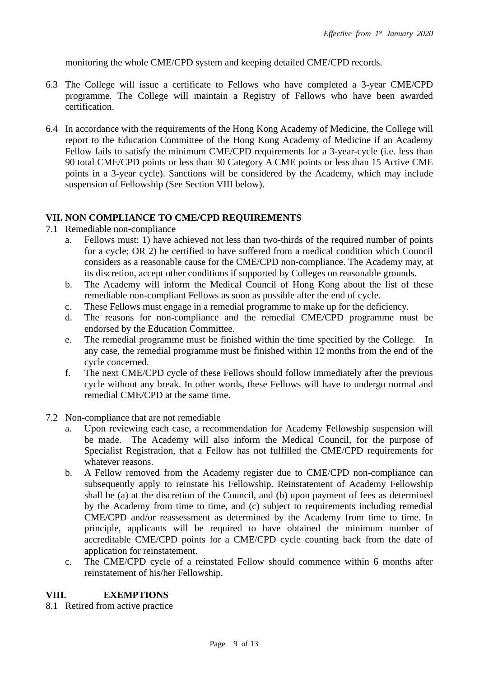monitoring the whole CME/CPD system and keeping detailed CME/CPD records.

- 6.3 The College will issue a certificate to Fellows who have completed a 3-year CME/CPD programme. The College will maintain a Registry of Fellows who have been awarded certification.
- 6.4 In accordance with the requirements of the Hong Kong Academy of Medicine, the College will report to the Education Committee of the Hong Kong Academy of Medicine if an Academy Fellow fails to satisfy the minimum CME/CPD requirements for a 3-year-cycle (i.e. less than 90 total CME/CPD points or less than 30 Category A CME points or less than 15 Active CME points in a 3-year cycle). Sanctions will be considered by the Academy, which may include suspension of Fellowship (See Section VIII below).

### **VII. NON COMPLIANCE TO CME/CPD REQUIREMENTS**

- 7.1 Remediable non-compliance
	- a. Fellows must: 1) have achieved not less than two-thirds of the required number of points for a cycle; OR 2) be certified to have suffered from a medical condition which Council considers as a reasonable cause for the CME/CPD non-compliance. The Academy may, at its discretion, accept other conditions if supported by Colleges on reasonable grounds.
	- b. The Academy will inform the Medical Council of Hong Kong about the list of these remediable non-compliant Fellows as soon as possible after the end of cycle.
	- c. These Fellows must engage in a remedial programme to make up for the deficiency.
	- d. The reasons for non-compliance and the remedial CME/CPD programme must be endorsed by the Education Committee.
	- e. The remedial programme must be finished within the time specified by the College. In any case, the remedial programme must be finished within 12 months from the end of the cycle concerned.
	- f. The next CME/CPD cycle of these Fellows should follow immediately after the previous cycle without any break. In other words, these Fellows will have to undergo normal and remedial CME/CPD at the same time.
- 7.2 Non-compliance that are not remediable
	- a. Upon reviewing each case, a recommendation for Academy Fellowship suspension will be made. The Academy will also inform the Medical Council, for the purpose of Specialist Registration, that a Fellow has not fulfilled the CME/CPD requirements for whatever reasons.
	- b. A Fellow removed from the Academy register due to CME/CPD non-compliance can subsequently apply to reinstate his Fellowship. Reinstatement of Academy Fellowship shall be (a) at the discretion of the Council, and (b) upon payment of fees as determined by the Academy from time to time, and (c) subject to requirements including remedial CME/CPD and/or reassessment as determined by the Academy from time to time. In principle, applicants will be required to have obtained the minimum number of accreditable CME/CPD points for a CME/CPD cycle counting back from the date of application for reinstatement.
	- c. The CME/CPD cycle of a reinstated Fellow should commence within 6 months after reinstatement of his/her Fellowship.

### **VIII. EXEMPTIONS**

8.1 Retired from active practice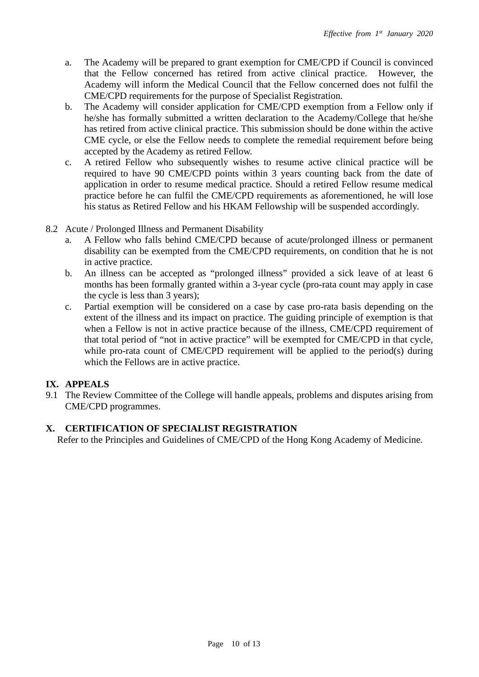- a. The Academy will be prepared to grant exemption for CME/CPD if Council is convinced that the Fellow concerned has retired from active clinical practice. However, the Academy will inform the Medical Council that the Fellow concerned does not fulfil the CME/CPD requirements for the purpose of Specialist Registration.
- b. The Academy will consider application for CME/CPD exemption from a Fellow only if he/she has formally submitted a written declaration to the Academy/College that he/she has retired from active clinical practice. This submission should be done within the active CME cycle, or else the Fellow needs to complete the remedial requirement before being accepted by the Academy as retired Fellow.
- c. A retired Fellow who subsequently wishes to resume active clinical practice will be required to have 90 CME/CPD points within 3 years counting back from the date of application in order to resume medical practice. Should a retired Fellow resume medical practice before he can fulfil the CME/CPD requirements as aforementioned, he will lose his status as Retired Fellow and his HKAM Fellowship will be suspended accordingly.
- 8.2 Acute / Prolonged Illness and Permanent Disability
	- a. A Fellow who falls behind CME/CPD because of acute/prolonged illness or permanent disability can be exempted from the CME/CPD requirements, on condition that he is not in active practice.
	- b. An illness can be accepted as "prolonged illness" provided a sick leave of at least 6 months has been formally granted within a 3-year cycle (pro-rata count may apply in case the cycle is less than 3 years);
	- c. Partial exemption will be considered on a case by case pro-rata basis depending on the extent of the illness and its impact on practice. The guiding principle of exemption is that when a Fellow is not in active practice because of the illness, CME/CPD requirement of that total period of "not in active practice" will be exempted for CME/CPD in that cycle, while pro-rata count of CME/CPD requirement will be applied to the period(s) during which the Fellows are in active practice.

# **IX. APPEALS**

9.1 The Review Committee of the College will handle appeals, problems and disputes arising from CME/CPD programmes.

# **X. CERTIFICATION OF SPECIALIST REGISTRATION**

Refer to the Principles and Guidelines of CME/CPD of the Hong Kong Academy of Medicine.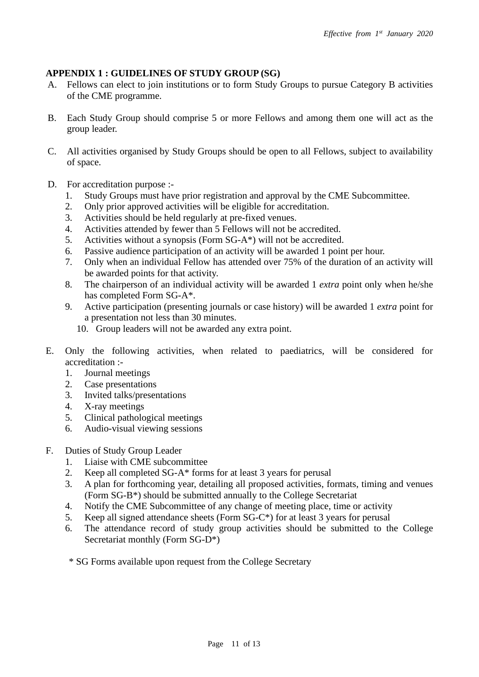### **APPENDIX 1 : GUIDELINES OF STUDY GROUP (SG)**

- A. Fellows can elect to join institutions or to form Study Groups to pursue Category B activities of the CME programme.
- B. Each Study Group should comprise 5 or more Fellows and among them one will act as the group leader.
- C. All activities organised by Study Groups should be open to all Fellows, subject to availability of space.
- D. For accreditation purpose :-
	- 1. Study Groups must have prior registration and approval by the CME Subcommittee.<br>2. Only prior approved activities will be eligible for accreditation.
	- 2. Only prior approved activities will be eligible for accreditation.
	- 3. Activities should be held regularly at pre-fixed venues.
	- 4. Activities attended by fewer than 5 Fellows will not be accredited.
	- 5. Activities without a synopsis (Form SG-A\*) will not be accredited.
	- 6. Passive audience participation of an activity will be awarded 1 point per hour.
	- 7. Only when an individual Fellow has attended over 75% of the duration of an activity will be awarded points for that activity.
	- 8. The chairperson of an individual activity will be awarded 1 *extra* point only when he/she has completed Form SG-A\*.
	- 9. Active participation (presenting journals or case history) will be awarded 1 *extra* point for a presentation not less than 30 minutes.
		- 10. Group leaders will not be awarded any extra point.
- E. Only the following activities, when related to paediatrics, will be considered for accreditation :-
	- 1. Journal meetings
	- 2. Case presentations
	- 3. Invited talks/presentations
	- 4. X-ray meetings
	- 5. Clinical pathological meetings
	- 6. Audio-visual viewing sessions
- F. Duties of Study Group Leader
	- 1. Liaise with CME subcommittee
	- 2. Keep all completed SG-A\* forms for at least 3 years for perusal
	- 3. A plan for forthcoming year, detailing all proposed activities, formats, timing and venues (Form SG-B\*) should be submitted annually to the College Secretariat
	- 4. Notify the CME Subcommittee of any change of meeting place, time or activity
	- 5. Keep all signed attendance sheets (Form SG-C\*) for at least 3 years for perusal
	- 6. The attendance record of study group activities should be submitted to the College Secretariat monthly (Form SG-D\*)
	- \* SG Forms available upon request from the College Secretary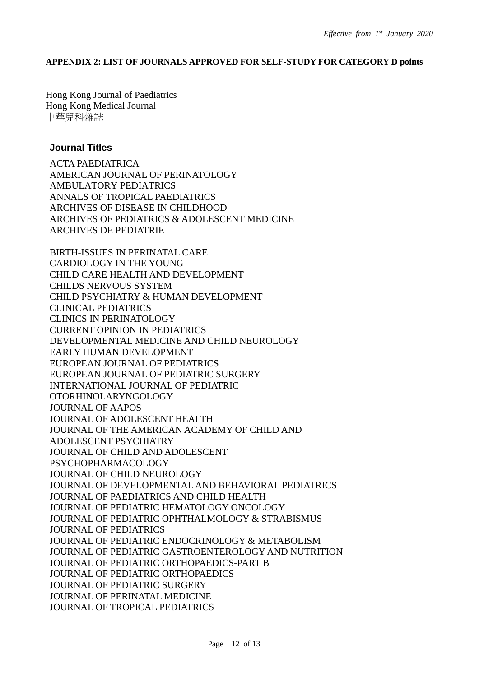#### **APPENDIX 2: LIST OF JOURNALS APPROVED FOR SELF-STUDY FOR CATEGORY D points**

Hong Kong Journal of Paediatrics Hong Kong Medical Journal 中華兒科雜誌

#### **Journal Titles**

ACTA PAEDIATRICA AMERICAN JOURNAL OF PERINATOLOGY AMBULATORY PEDIATRICS ANNALS OF TROPICAL PAEDIATRICS ARCHIVES OF DISEASE IN CHILDHOOD ARCHIVES OF PEDIATRICS & ADOLESCENT MEDICINE ARCHIVES DE PEDIATRIE

BIRTH-ISSUES IN PERINATAL CARE CARDIOLOGY IN THE YOUNG CHILD CARE HEALTH AND DEVELOPMENT CHILDS NERVOUS SYSTEM CHILD PSYCHIATRY & HUMAN DEVELOPMENT CLINICAL PEDIATRICS CLINICS IN PERINATOLOGY CURRENT OPINION IN PEDIATRICS DEVELOPMENTAL MEDICINE AND CHILD NEUROLOGY EARLY HUMAN DEVELOPMENT EUROPEAN JOURNAL OF PEDIATRICS EUROPEAN JOURNAL OF PEDIATRIC SURGERY INTERNATIONAL JOURNAL OF PEDIATRIC OTORHINOLARYNGOLOGY JOURNAL OF AAPOS JOURNAL OF ADOLESCENT HEALTH JOURNAL OF THE AMERICAN ACADEMY OF CHILD AND ADOLESCENT PSYCHIATRY JOURNAL OF CHILD AND ADOLESCENT PSYCHOPHARMACOLOGY JOURNAL OF CHILD NEUROLOGY JOURNAL OF DEVELOPMENTAL AND BEHAVIORAL PEDIATRICS JOURNAL OF PAEDIATRICS AND CHILD HEALTH JOURNAL OF PEDIATRIC HEMATOLOGY ONCOLOGY JOURNAL OF PEDIATRIC OPHTHALMOLOGY & STRABISMUS JOURNAL OF PEDIATRICS JOURNAL OF PEDIATRIC ENDOCRINOLOGY & METABOLISM JOURNAL OF PEDIATRIC GASTROENTEROLOGY AND NUTRITION JOURNAL OF PEDIATRIC ORTHOPAEDICS-PART B JOURNAL OF PEDIATRIC ORTHOPAEDICS JOURNAL OF PEDIATRIC SURGERY JOURNAL OF PERINATAL MEDICINE JOURNAL OF TROPICAL PEDIATRICS